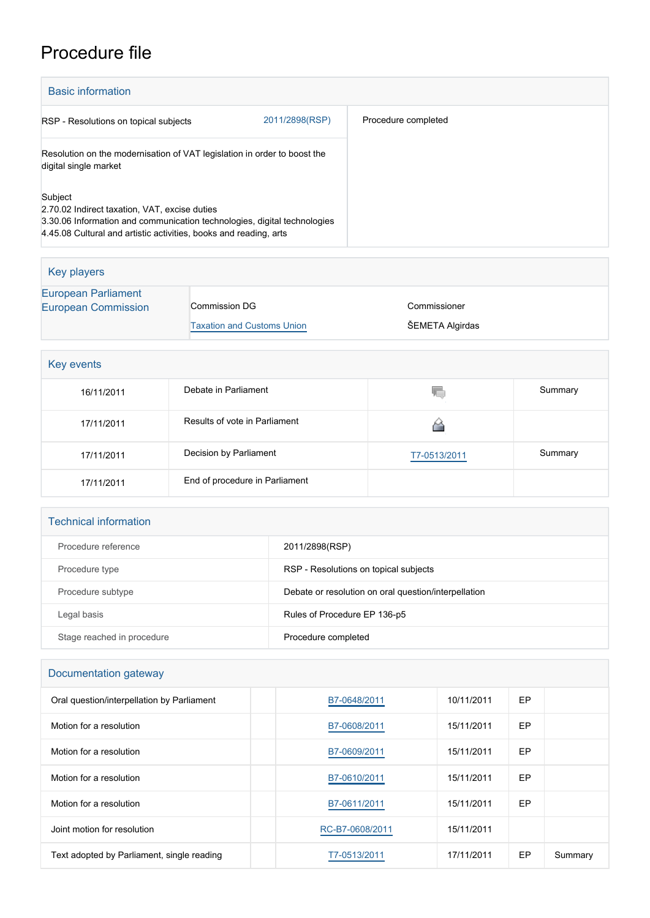## Procedure file

| <b>Basic information</b>                                                                                                                                                                                  |                |                     |  |
|-----------------------------------------------------------------------------------------------------------------------------------------------------------------------------------------------------------|----------------|---------------------|--|
| RSP - Resolutions on topical subjects                                                                                                                                                                     | 2011/2898(RSP) | Procedure completed |  |
| Resolution on the modernisation of VAT legislation in order to boost the<br>digital single market                                                                                                         |                |                     |  |
| Subject<br>2.70.02 Indirect taxation, VAT, excise duties<br>3.30.06 Information and communication technologies, digital technologies<br>4.45.08 Cultural and artistic activities, books and reading, arts |                |                     |  |

| Key players                                              |                                   |                 |
|----------------------------------------------------------|-----------------------------------|-----------------|
| <b>European Parliament</b><br><b>European Commission</b> | Commission DG                     | Commissioner    |
|                                                          | <b>Taxation and Customs Union</b> | ŠEMETA Algirdas |

|  | <b>Key events</b> |
|--|-------------------|
|--|-------------------|

| 16/11/2011 | Debate in Parliament           | ۷C           | Summary |
|------------|--------------------------------|--------------|---------|
| 17/11/2011 | Results of vote in Parliament  |              |         |
| 17/11/2011 | Decision by Parliament         | T7-0513/2011 | Summary |
| 17/11/2011 | End of procedure in Parliament |              |         |

| <b>Technical information</b> |                                                      |
|------------------------------|------------------------------------------------------|
| Procedure reference          | 2011/2898(RSP)                                       |
| Procedure type               | RSP - Resolutions on topical subjects                |
| Procedure subtype            | Debate or resolution on oral question/interpellation |
| Legal basis                  | Rules of Procedure EP 136-p5                         |
| Stage reached in procedure   | Procedure completed                                  |

## Documentation gateway

| Oral question/interpellation by Parliament | B7-0648/2011    | 10/11/2011 | EP |         |
|--------------------------------------------|-----------------|------------|----|---------|
| Motion for a resolution                    | B7-0608/2011    | 15/11/2011 | EP |         |
| Motion for a resolution                    | B7-0609/2011    | 15/11/2011 | EP |         |
| Motion for a resolution                    | B7-0610/2011    | 15/11/2011 | EP |         |
| Motion for a resolution                    | B7-0611/2011    | 15/11/2011 | EP |         |
| Joint motion for resolution                | RC-B7-0608/2011 | 15/11/2011 |    |         |
| Text adopted by Parliament, single reading | T7-0513/2011    | 17/11/2011 | EP | Summary |